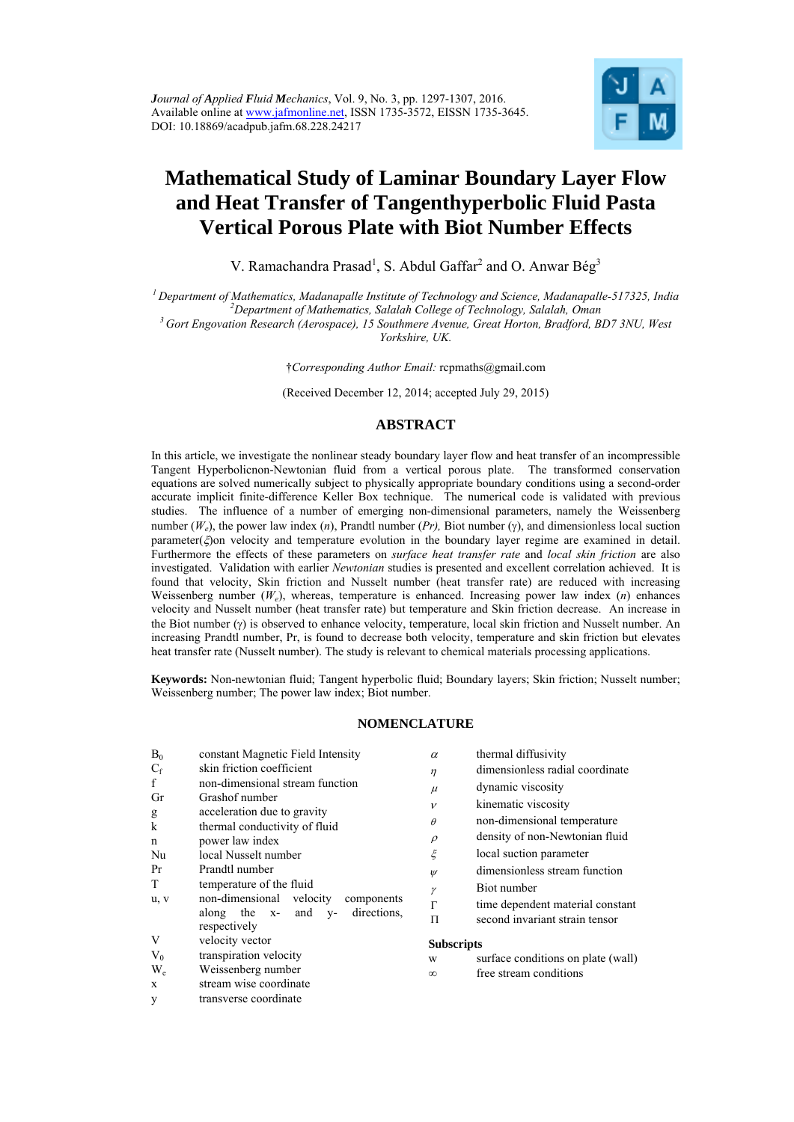

# **Mathematical Study of Laminar Boundary Layer Flow and Heat Transfer of Tangenthyperbolic Fluid Pasta Vertical Porous Plate with Biot Number Effects**

V. Ramachandra Prasad<sup>1</sup>, S. Abdul Gaffar<sup>2</sup> and O. Anwar Bég<sup>3</sup>

*1 Department of Mathematics, Madanapalle Institute of Technology and Science, Madanapalle-517325, India 2*

<sup>3</sup> Gort Engovation Research (Aerospace), 15 Southmere Avenue, Great Horton, Bradford, BD7 3NU, West *Yorkshire, UK.* 

†*Corresponding Author Email:* rcpmaths@gmail.com

(Received December 12, 2014; accepted July 29, 2015)

# **ABSTRACT**

In this article, we investigate the nonlinear steady boundary layer flow and heat transfer of an incompressible Tangent Hyperbolicnon-Newtonian fluid from a vertical porous plate. The transformed conservation equations are solved numerically subject to physically appropriate boundary conditions using a second-order accurate implicit finite-difference Keller Box technique. The numerical code is validated with previous studies. The influence of a number of emerging non-dimensional parameters, namely the Weissenberg number  $(W_e)$ , the power law index  $(n)$ , Prandtl number  $(Pr)$ , Biot number  $(\gamma)$ , and dimensionless local suction parameter( $\xi$ ) on velocity and temperature evolution in the boundary layer regime are examined in detail. Furthermore the effects of these parameters on *surface heat transfer rate* and *local skin friction* are also investigated. Validation with earlier *Newtonian* studies is presented and excellent correlation achieved. It is found that velocity, Skin friction and Nusselt number (heat transfer rate) are reduced with increasing Weissenberg number (*We*), whereas, temperature is enhanced. Increasing power law index (*n*) enhances velocity and Nusselt number (heat transfer rate) but temperature and Skin friction decrease. An increase in the Biot number  $(\gamma)$  is observed to enhance velocity, temperature, local skin friction and Nusselt number. An increasing Prandtl number, Pr, is found to decrease both velocity, temperature and skin friction but elevates heat transfer rate (Nusselt number). The study is relevant to chemical materials processing applications.

**Keywords:** Non-newtonian fluid; Tangent hyperbolic fluid; Boundary layers; Skin friction; Nusselt number; Weissenberg number; The power law index; Biot number.

# **NOMENCLATURE**

| $B_0$       | constant Magnetic Field Intensity                        | $\alpha$          | thermal diffusivity                |
|-------------|----------------------------------------------------------|-------------------|------------------------------------|
| $C_f$       | skin friction coefficient                                | $\eta$            | dimensionless radial coordinate    |
| f           | non-dimensional stream function                          | $\mu$             | dynamic viscosity                  |
| Gr          | Grashof number                                           | $\mathcal{V}$     | kinematic viscosity                |
| g           | acceleration due to gravity                              |                   |                                    |
| $\mathbf k$ | thermal conductivity of fluid                            | $\theta$          | non-dimensional temperature        |
| n           | power law index                                          | $\rho$            | density of non-Newtonian fluid     |
| Nu          | local Nusselt number                                     | $\xi$             | local suction parameter            |
| Pr          | Prandtl number                                           | $\psi$            | dimensionless stream function      |
| T           | temperature of the fluid                                 | γ                 | Biot number                        |
| u, v        | non-dimensional velocity<br>components                   | $\Gamma$          | time dependent material constant   |
|             | directions.<br>along the x- and<br>$V -$<br>respectively | Π                 | second invariant strain tensor     |
| V           | velocity vector                                          | <b>Subscripts</b> |                                    |
| $V_0$       | transpiration velocity                                   | W                 | surface conditions on plate (wall) |
| $W_e$       | Weissenberg number                                       | $\infty$          | free stream conditions             |
| X           | stream wise coordinate                                   |                   |                                    |
| y           | transverse coordinate                                    |                   |                                    |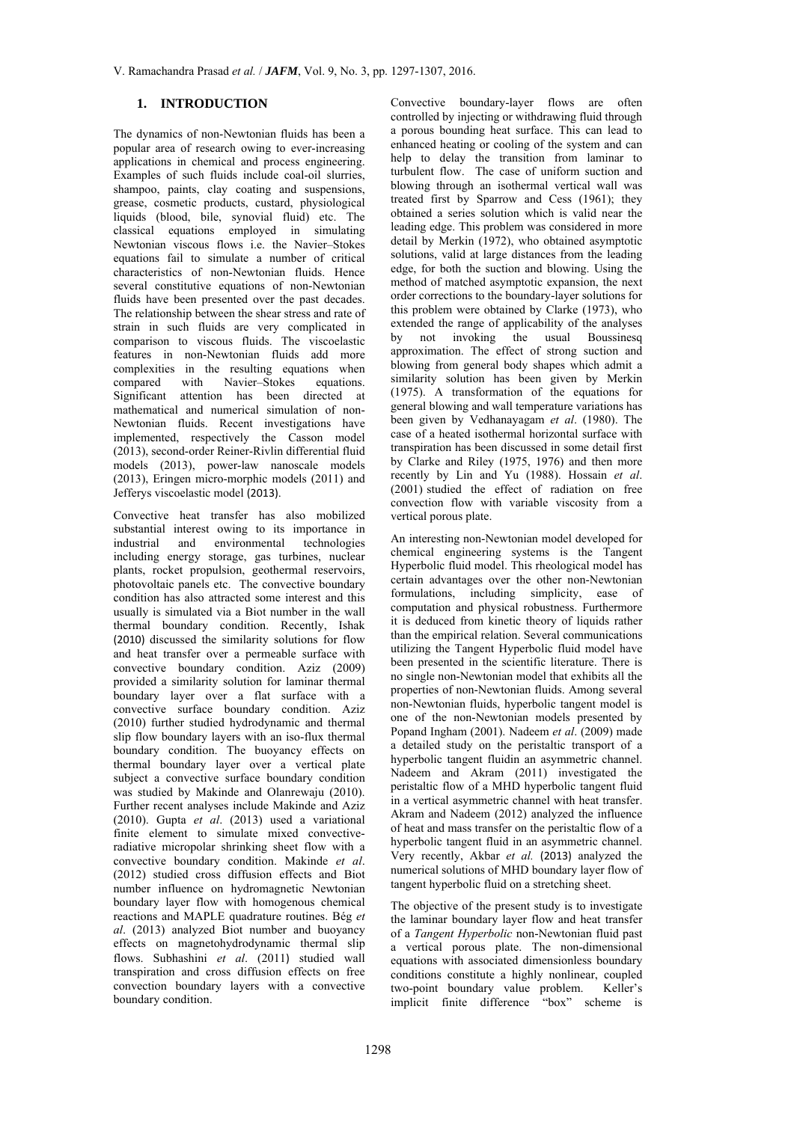# **1. INTRODUCTION**

The dynamics of non-Newtonian fluids has been a popular area of research owing to ever-increasing applications in chemical and process engineering. Examples of such fluids include coal-oil slurries, shampoo, paints, clay coating and suspensions, grease, cosmetic products, custard, physiological liquids (blood, bile, synovial fluid) etc. The classical equations employed in simulating Newtonian viscous flows i.e. the Navier–Stokes equations fail to simulate a number of critical characteristics of non-Newtonian fluids. Hence several constitutive equations of non-Newtonian fluids have been presented over the past decades. The relationship between the shear stress and rate of strain in such fluids are very complicated in comparison to viscous fluids. The viscoelastic features in non-Newtonian fluids add more complexities in the resulting equations when compared with Navier–Stokes equations. Significant attention has been directed at mathematical and numerical simulation of non-Newtonian fluids. Recent investigations have implemented, respectively the Casson model (2013), second-order Reiner-Rivlin differential fluid models (2013), power-law nanoscale models (2013), Eringen micro-morphic models (2011) and Jefferys viscoelastic model (2013).

Convective heat transfer has also mobilized substantial interest owing to its importance in industrial and environmental technologies including energy storage, gas turbines, nuclear plants, rocket propulsion, geothermal reservoirs, photovoltaic panels etc. The convective boundary condition has also attracted some interest and this usually is simulated via a Biot number in the wall thermal boundary condition. Recently, Ishak (2010) discussed the similarity solutions for flow and heat transfer over a permeable surface with convective boundary condition. Aziz (2009) provided a similarity solution for laminar thermal boundary layer over a flat surface with a convective surface boundary condition. Aziz (2010) further studied hydrodynamic and thermal slip flow boundary layers with an iso-flux thermal boundary condition. The buoyancy effects on thermal boundary layer over a vertical plate subject a convective surface boundary condition was studied by Makinde and Olanrewaju (2010). Further recent analyses include Makinde and Aziz (2010). Gupta *et al*. (2013) used a variational finite element to simulate mixed convectiveradiative micropolar shrinking sheet flow with a convective boundary condition. Makinde *et al*. (2012) studied cross diffusion effects and Biot number influence on hydromagnetic Newtonian boundary layer flow with homogenous chemical reactions and MAPLE quadrature routines. Bég *et al*. (2013) analyzed Biot number and buoyancy effects on magnetohydrodynamic thermal slip flows. Subhashini *et al*. (2011) studied wall transpiration and cross diffusion effects on free convection boundary layers with a convective boundary condition.

Convective boundary-layer flows are often controlled by injecting or withdrawing fluid through a porous bounding heat surface. This can lead to enhanced heating or cooling of the system and can help to delay the transition from laminar to turbulent flow. The case of uniform suction and blowing through an isothermal vertical wall was treated first by Sparrow and Cess (1961); they obtained a series solution which is valid near the leading edge. This problem was considered in more detail by Merkin (1972), who obtained asymptotic solutions, valid at large distances from the leading edge, for both the suction and blowing. Using the method of matched asymptotic expansion, the next order corrections to the boundary-layer solutions for this problem were obtained by Clarke (1973), who extended the range of applicability of the analyses by not invoking the usual Boussinesq approximation. The effect of strong suction and blowing from general body shapes which admit a similarity solution has been given by Merkin (1975). A transformation of the equations for general blowing and wall temperature variations has been given by Vedhanayagam *et al*. (1980). The case of a heated isothermal horizontal surface with transpiration has been discussed in some detail first by Clarke and Riley (1975, 1976) and then more recently by Lin and Yu (1988). Hossain *et al*. (2001) studied the effect of radiation on free convection flow with variable viscosity from a vertical porous plate.

An interesting non-Newtonian model developed for chemical engineering systems is the Tangent Hyperbolic fluid model. This rheological model has certain advantages over the other non-Newtonian formulations, including simplicity, ease of computation and physical robustness. Furthermore it is deduced from kinetic theory of liquids rather than the empirical relation. Several communications utilizing the Tangent Hyperbolic fluid model have been presented in the scientific literature. There is no single non-Newtonian model that exhibits all the properties of non-Newtonian fluids. Among several non-Newtonian fluids, hyperbolic tangent model is one of the non-Newtonian models presented by Popand Ingham (2001). Nadeem *et al*. (2009) made a detailed study on the peristaltic transport of a hyperbolic tangent fluidin an asymmetric channel. Nadeem and Akram (2011) investigated the peristaltic flow of a MHD hyperbolic tangent fluid in a vertical asymmetric channel with heat transfer. Akram and Nadeem (2012) analyzed the influence of heat and mass transfer on the peristaltic flow of a hyperbolic tangent fluid in an asymmetric channel. Very recently, Akbar *et al.* (2013) analyzed the numerical solutions of MHD boundary layer flow of tangent hyperbolic fluid on a stretching sheet.

The objective of the present study is to investigate the laminar boundary layer flow and heat transfer of a *Tangent Hyperbolic* non-Newtonian fluid past a vertical porous plate. The non-dimensional equations with associated dimensionless boundary conditions constitute a highly nonlinear, coupled two-point boundary value problem. Keller's implicit finite difference "box" scheme is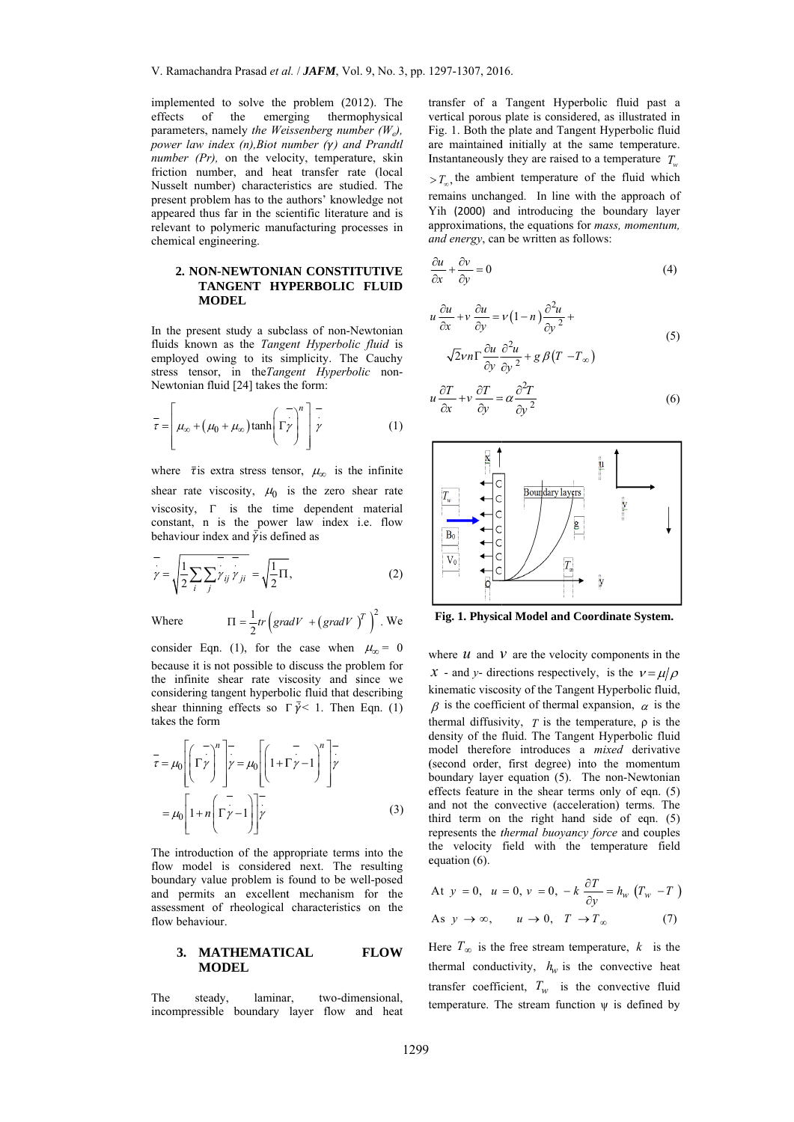implemented to solve the problem (2012). The effects of the emerging thermophysical parameters, namely the Weissenberg number  $(W_e)$ , power law index  $(n)$ , Biot number  $(\gamma)$  and Prandtl number  $(Pr)$ , on the velocity, temperature, skin friction number, and heat transfer rate (local Nusselt number) characteristics are studied. The present problem has to the authors' knowledge not appeared thus far in the scientific literature and is relevant to polymeric manufacturing processes in chemical engineering.

### 2. NON-NEWTONIAN CONSTITUTIVE TANGENT HYPERBOLIC FLUID **MODEL**

In the present study a subclass of non-Newtonian fluids known as the Tangent Hyperbolic fluid is employed owing to its simplicity. The Cauchy stress tensor, in the Tangent Hyperbolic non-Newtonian fluid [24] takes the form:

$$
\overline{\tau} = \left[ \mu_{\infty} + (\mu_0 + \mu_{\infty}) \tanh\left(\overline{\Gamma} \overline{\gamma}\right)^n \right] \overline{\gamma}
$$
 (1)

where  $\bar{\tau}$  is extra stress tensor,  $\mu_{\infty}$  is the infinite shear rate viscosity,  $\mu_0$  is the zero shear rate viscosity,  $\Gamma$  is the time dependent material constant, n is the power law index i.e. flow behaviour index and  $\overline{\dot{\gamma}}$  is defined as

$$
\overline{y} = \sqrt{\frac{1}{2} \sum_{i} \sum_{j} y_{ij} y_{ji}} = \sqrt{\frac{1}{2} \Pi},
$$
\n(2)

Where 
$$
\Pi = \frac{1}{2} tr \left( gradV + (gradV)^T \right)^2
$$
. We

consider Eqn. (1), for the case when  $\mu_{\infty} = 0$ because it is not possible to discuss the problem for the infinite shear rate viscosity and since we considering tangent hyperbolic fluid that describing shear thinning effects so  $\Gamma \bar{\gamma} < 1$ . Then Eqn. (1) takes the form

$$
\overline{\tau} = \mu_0 \left[ \left( \Gamma \overline{\gamma} \right)^n \right] \overline{\gamma} = \mu_0 \left[ \left( 1 + \Gamma \overline{\gamma} - 1 \right)^n \right] \overline{\gamma}
$$

$$
= \mu_0 \left[ 1 + n \left( \Gamma \overline{\gamma} - 1 \right) \right] \overline{\gamma}
$$
(3)

The introduction of the appropriate terms into the flow model is considered next. The resulting boundary value problem is found to be well-posed and permits an excellent mechanism for the assessment of rheological characteristics on the flow behaviour.

#### 3. MATHEMATICAL **FLOW MODEL**

The steady, laminar, two-dimensional. incompressible boundary layer flow and heat transfer of a Tangent Hyperbolic fluid past a vertical porous plate is considered, as illustrated in Fig. 1. Both the plate and Tangent Hyperbolic fluid are maintained initially at the same temperature. Instantaneously they are raised to a temperature  $T_{\perp}$ 

 $>T_{\text{eq}}$ , the ambient temperature of the fluid which remains unchanged. In line with the approach of Yih (2000) and introducing the boundary layer approximations, the equations for *mass*, *momentum*, and energy, can be written as follows:

$$
\frac{\partial u}{\partial x} + \frac{\partial v}{\partial y} = 0\tag{4}
$$

$$
\iota \frac{\partial u}{\partial x} + v \frac{\partial u}{\partial y} = v(1 - n) \frac{\partial^2 u}{\partial y^2} +
$$
  

$$
\sqrt{2} v n \Gamma \frac{\partial u}{\partial y} \frac{\partial^2 u}{\partial y^2} + g \beta (T - T_{\infty})
$$
 (5)

$$
u\frac{\partial T}{\partial x} + v\frac{\partial T}{\partial y} = \alpha \frac{\partial^2 T}{\partial y^2}
$$
 (6)



Fig. 1. Physical Model and Coordinate System.

where  $\mathcal U$  and  $\mathcal V$  are the velocity components in the x - and y- directions respectively, is the  $v = u/\rho$ kinematic viscosity of the Tangent Hyperbolic fluid,  $\beta$  is the coefficient of thermal expansion,  $\alpha$  is the thermal diffusivity,  $T$  is the temperature,  $\rho$  is the density of the fluid. The Tangent Hyperbolic fluid model therefore introduces a mixed derivative (second order, first degree) into the momentum boundary layer equation (5). The non-Newtonian effects feature in the shear terms only of eqn. (5) and not the convective (acceleration) terms. The third term on the right hand side of eqn.  $(5)$ represents the *thermal buoyancy force* and couples the velocity field with the temperature field equation  $(6)$ .

At 
$$
y = 0
$$
,  $u = 0$ ,  $v = 0$ ,  $-k \frac{\partial T}{\partial y} = h_w (T_w - T)$   
As  $y \to \infty$ ,  $u \to 0$ ,  $T \to T_{\infty}$  (7)

Here  $T_{\infty}$  is the free stream temperature, k is the thermal conductivity,  $h_w$  is the convective heat transfer coefficient,  $T_w$  is the convective fluid temperature. The stream function  $\psi$  is defined by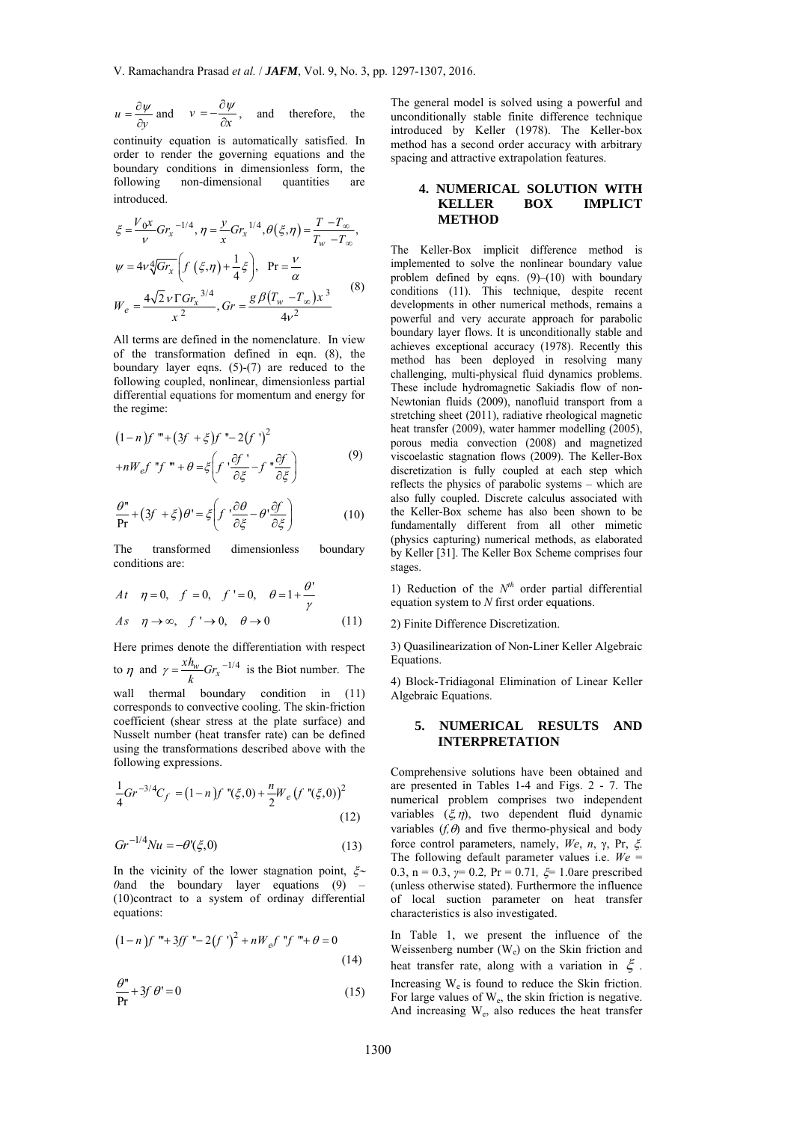$$
u = \frac{\partial \psi}{\partial y}
$$
 and  $v = -\frac{\partial \psi}{\partial x}$ , and therefore, the

continuity equation is automatically satisfied. In order to render the governing equations and the boundary conditions in dimensionless form, the following non-dimensional quantities are introduced.

$$
\xi = \frac{V_0 x}{v} G r_x^{-1/4}, \eta = \frac{y}{x} G r_x^{-1/4}, \theta(\xi, \eta) = \frac{T - T_{\infty}}{T_w - T_{\infty}},
$$
  

$$
\psi = 4v \sqrt[4]{G r_x} \left( f(\xi, \eta) + \frac{1}{4} \xi \right), \text{ Pr} = \frac{v}{\alpha}
$$
  

$$
W_e = \frac{4\sqrt{2}v \Gamma G r_x^{-3/4}}{x^2}, \text{ Gr} = \frac{g \beta (T_w - T_{\infty}) x^3}{4v^2}
$$
 (8)

All terms are defined in the nomenclature. In view of the transformation defined in eqn. (8), the boundary layer eqns. (5)-(7) are reduced to the following coupled, nonlinear, dimensionless partial differential equations for momentum and energy for the regime:

$$
(1-n)f''' + (3f + \xi)f'' - 2(f')^{2}
$$
  
+ $nW_{e}f''f''' + \theta = \xi \left(f' \frac{\partial f'}{\partial \xi} - f'' \frac{\partial f}{\partial \xi}\right)$  (9)

$$
\frac{\partial^n}{\partial r} + (3f + \xi)\theta' = \xi \left( f' \frac{\partial \theta}{\partial \xi} - \theta' \frac{\partial f}{\partial \xi} \right)
$$
(10)

The transformed dimensionless boundary conditions are:

$$
At \quad \eta = 0, \quad f = 0, \quad f' = 0, \quad \theta = 1 + \frac{\theta'}{\gamma}
$$
  

$$
As \quad \eta \to \infty, \quad f' \to 0, \quad \theta \to 0
$$
 (11)

Here primes denote the differentiation with respect to  $\eta$  and  $\gamma = \frac{xh_w}{k}Gr_x^{-1/4}$  is the Biot number. The

wall thermal boundary condition in (11) corresponds to convective cooling. The skin-friction coefficient (shear stress at the plate surface) and Nusselt number (heat transfer rate) can be defined using the transformations described above with the following expressions.

$$
\frac{1}{4}Gr^{-3/4}C_f = (1-n)f''(\xi,0) + \frac{n}{2}W_e(f''(\xi,0))^2
$$
\n(12)

$$
Gr^{-1/4}Nu = -\theta'(\xi,0)
$$
 (13)

In the vicinity of the lower stagnation point,  $\zeta \sim$ *0*and the boundary layer equations  $(9)$ (10)contract to a system of ordinay differential equations:

$$
(1-n)f''' + 3ff'' - 2(f')^{2} + nW_{e}f''f''' + \theta = 0
$$
\n(14)

$$
\frac{\theta''}{\text{Pr}} + 3f \theta' = 0 \tag{15}
$$

The general model is solved using a powerful and unconditionally stable finite difference technique introduced by Keller (1978). The Keller-box method has a second order accuracy with arbitrary spacing and attractive extrapolation features.

# **4. NUMERICAL SOLUTION WITH KELLER BOX IMPLICT METHOD**

The Keller-Box implicit difference method is implemented to solve the nonlinear boundary value problem defined by eqns. (9)–(10) with boundary conditions (11). This technique, despite recent developments in other numerical methods, remains a powerful and very accurate approach for parabolic boundary layer flows. It is unconditionally stable and achieves exceptional accuracy (1978). Recently this method has been deployed in resolving many challenging, multi-physical fluid dynamics problems. These include hydromagnetic Sakiadis flow of non-Newtonian fluids (2009), nanofluid transport from a stretching sheet (2011), radiative rheological magnetic heat transfer (2009), water hammer modelling (2005), porous media convection (2008) and magnetized viscoelastic stagnation flows (2009). The Keller-Box discretization is fully coupled at each step which reflects the physics of parabolic systems – which are also fully coupled. Discrete calculus associated with the Keller-Box scheme has also been shown to be fundamentally different from all other mimetic (physics capturing) numerical methods, as elaborated by Keller [31]. The Keller Box Scheme comprises four stages.

1) Reduction of the  $N<sup>th</sup>$  order partial differential equation system to *N* first order equations.

2) Finite Difference Discretization.

3) Quasilinearization of Non-Liner Keller Algebraic Equations.

4) Block-Tridiagonal Elimination of Linear Keller Algebraic Equations.

## **5. NUMERICAL RESULTS AND INTERPRETATION**

Comprehensive solutions have been obtained and are presented in Tables 1-4 and Figs. 2 - 7. The numerical problem comprises two independent variables  $(\xi, \eta)$ , two dependent fluid dynamic variables  $(f, \theta)$  and five thermo-physical and body force control parameters, namely, *We*, *n*, γ, Pr, . The following default parameter values i.e. *We* = 0.3, n = 0.3, *γ*= 0.2, Pr = 0.71, ξ = 1.0are prescribed (unless otherwise stated). Furthermore the influence of local suction parameter on heat transfer characteristics is also investigated.

In Table 1, we present the influence of the Weissenberg number  $(W_e)$  on the Skin friction and heat transfer rate, along with a variation in  $\xi$ . Increasing  $W_e$  is found to reduce the Skin friction. For large values of  $W_e$ , the skin friction is negative. And increasing We, also reduces the heat transfer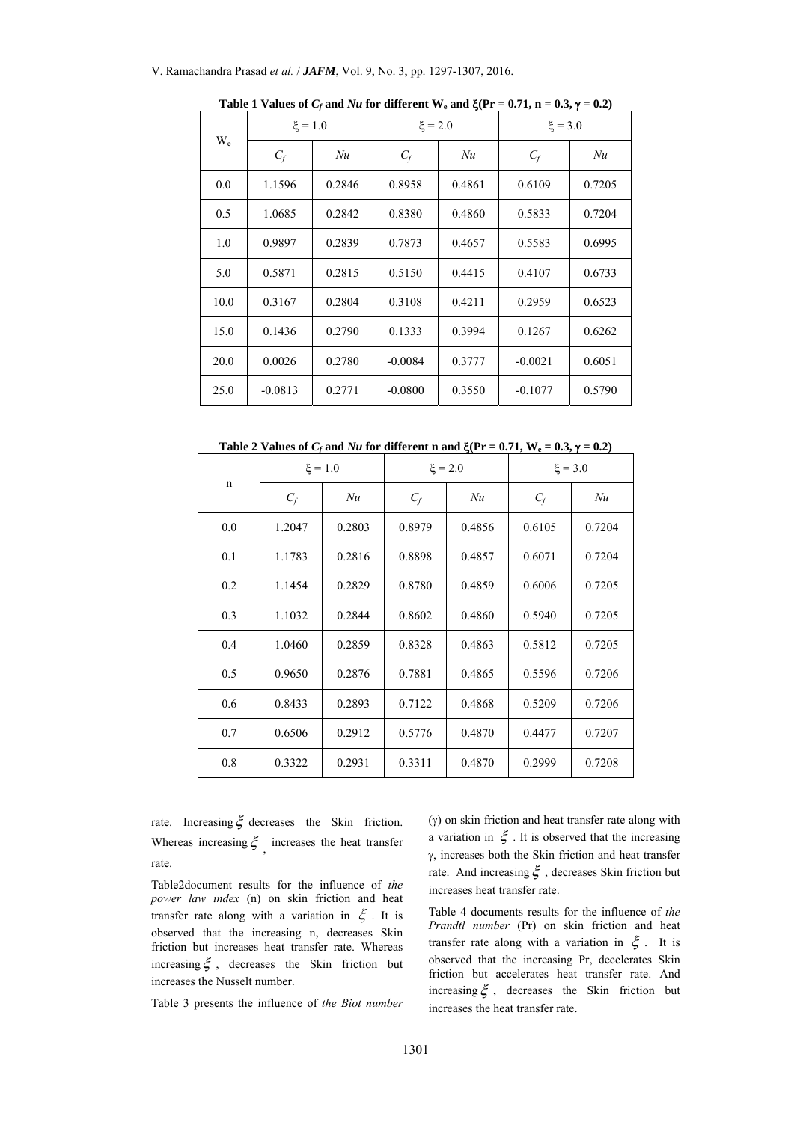| $W_{e}$ | $\xi = 1.0$ |        | $\xi = 2.0$ |        | $\xi = 3.0$ |        |
|---------|-------------|--------|-------------|--------|-------------|--------|
|         | $C_f$       | Nu     | $C_f$       | Nu     | $C_f$       | Nu     |
| 0.0     | 1.1596      | 0.2846 | 0.8958      | 0.4861 | 0.6109      | 0.7205 |
| 0.5     | 1.0685      | 0.2842 | 0.8380      | 0.4860 | 0.5833      | 0.7204 |
| 1.0     | 0.9897      | 0.2839 | 0.7873      | 0.4657 | 0.5583      | 0.6995 |
| 5.0     | 0.5871      | 0.2815 | 0.5150      | 0.4415 | 0.4107      | 0.6733 |
| 10.0    | 0.3167      | 0.2804 | 0.3108      | 0.4211 | 0.2959      | 0.6523 |
| 15.0    | 0.1436      | 0.2790 | 0.1333      | 0.3994 | 0.1267      | 0.6262 |
| 20.0    | 0.0026      | 0.2780 | $-0.0084$   | 0.3777 | $-0.0021$   | 0.6051 |
| 25.0    | $-0.0813$   | 0.2771 | $-0.0800$   | 0.3550 | $-0.1077$   | 0.5790 |

Table 1 Values of  $C_f$  and  $Nu$  for different W<sub>e</sub> and  $\zeta(\text{Pr} = 0.71, \text{n} = 0.3, \gamma = 0.2)$ 

Table 2 Values of  $C_f$  and  $Nu$  for different n and  $\zeta(\text{Pr} = 0.71, \text{W}_e = 0.3, \gamma = 0.2)$ 

| $\mathbf n$ | $\xi = 1.0$ |        | $\xi = 2.0$ |        | $\xi = 3.0$ |        |
|-------------|-------------|--------|-------------|--------|-------------|--------|
|             | $C_f$       | Nu     | $C_f$       | Nu     | $C_f$       | Nu     |
| 0.0         | 1.2047      | 0.2803 | 0.8979      | 0.4856 | 0.6105      | 0.7204 |
| 0.1         | 1.1783      | 0.2816 | 0.8898      | 0.4857 | 0.6071      | 0.7204 |
| 0.2         | 1.1454      | 0.2829 | 0.8780      | 0.4859 | 0.6006      | 0.7205 |
| 0.3         | 1.1032      | 0.2844 | 0.8602      | 0.4860 | 0.5940      | 0.7205 |
| 0.4         | 1.0460      | 0.2859 | 0.8328      | 0.4863 | 0.5812      | 0.7205 |
| 0.5         | 0.9650      | 0.2876 | 0.7881      | 0.4865 | 0.5596      | 0.7206 |
| 0.6         | 0.8433      | 0.2893 | 0.7122      | 0.4868 | 0.5209      | 0.7206 |
| 0.7         | 0.6506      | 0.2912 | 0.5776      | 0.4870 | 0.4477      | 0.7207 |
| 0.8         | 0.3322      | 0.2931 | 0.3311      | 0.4870 | 0.2999      | 0.7208 |

rate. Increasing  $\xi$  decreases the Skin friction. Whereas increasing  $\xi$ , increases the heat transfer rate.

Table2document results for the influence of *the power law index* (n) on skin friction and heat transfer rate along with a variation in  $\xi$ . It is observed that the increasing n, decreases Skin friction but increases heat transfer rate. Whereas increasing  $\xi$ , decreases the Skin friction but increases the Nusselt number.

Table 3 presents the influence of *the Biot number* 

 $(y)$  on skin friction and heat transfer rate along with a variation in  $\xi$ . It is observed that the increasing  $\gamma$ , increases both the Skin friction and heat transfer rate. And increasing  $\xi$ , decreases Skin friction but increases heat transfer rate.

Table 4 documents results for the influence of *the Prandtl number* (Pr) on skin friction and heat transfer rate along with a variation in  $\zeta$ . It is observed that the increasing Pr, decelerates Skin friction but accelerates heat transfer rate. And increasing  $\xi$ , decreases the Skin friction but increases the heat transfer rate.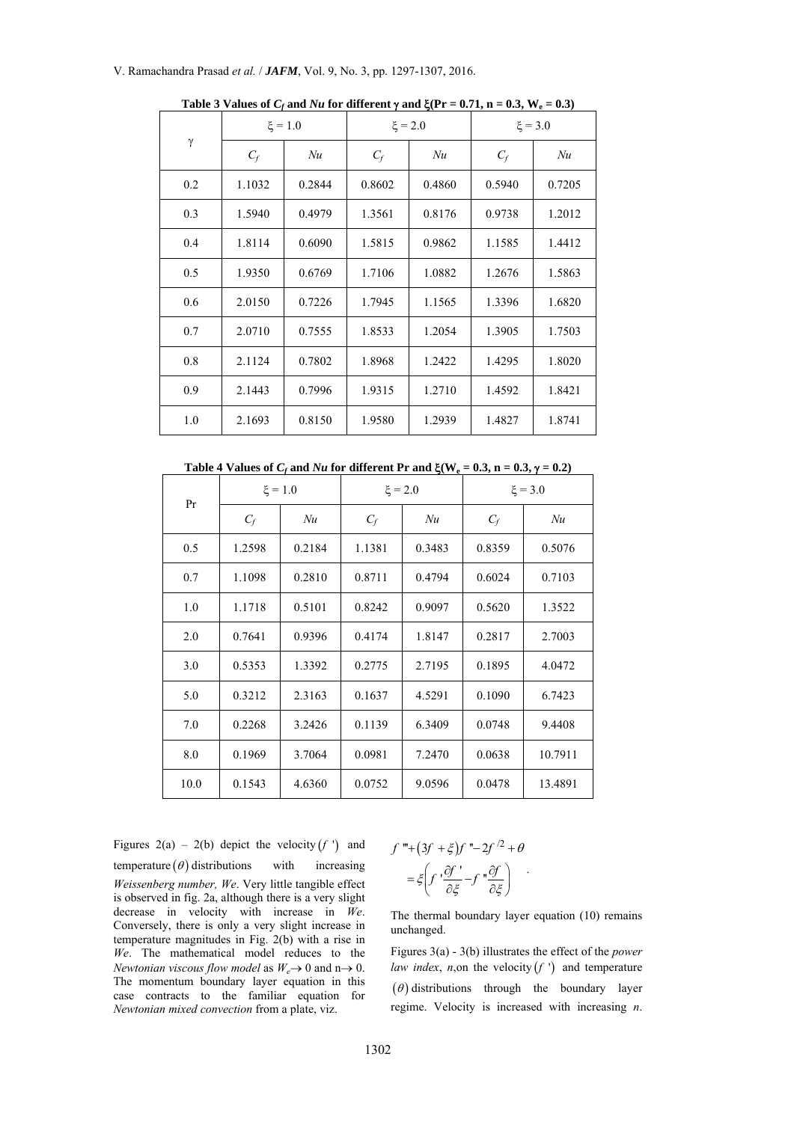| $\gamma$ | $\xi = 1.0$ |        | $\xi = 2.0$ |        | $\xi = 3.0$ |        |
|----------|-------------|--------|-------------|--------|-------------|--------|
|          | $C_f$       | Nu     | $C_f$       | Nu     | $C_f$       | Nu     |
| 0.2      | 1.1032      | 0.2844 | 0.8602      | 0.4860 | 0.5940      | 0.7205 |
| 0.3      | 1.5940      | 0.4979 | 1.3561      | 0.8176 | 0.9738      | 1.2012 |
| 0.4      | 1.8114      | 0.6090 | 1.5815      | 0.9862 | 1.1585      | 1.4412 |
| 0.5      | 1.9350      | 0.6769 | 1.7106      | 1.0882 | 1.2676      | 1.5863 |
| 0.6      | 2.0150      | 0.7226 | 1.7945      | 1.1565 | 1.3396      | 1.6820 |
| 0.7      | 2.0710      | 0.7555 | 1.8533      | 1.2054 | 1.3905      | 1.7503 |
| 0.8      | 2.1124      | 0.7802 | 1.8968      | 1.2422 | 1.4295      | 1.8020 |
| 0.9      | 2.1443      | 0.7996 | 1.9315      | 1.2710 | 1.4592      | 1.8421 |
| 1.0      | 2.1693      | 0.8150 | 1.9580      | 1.2939 | 1.4827      | 1.8741 |

Table 3 Values of  $C_f$  and  $Nu$  for different  $\gamma$  and  $\xi(\text{Pr} = 0.71, \text{ n} = 0.3, \text{W}_e = 0.3)$ 

Table 4 Values of  $C_f$  and  $Nu$  for different Pr and  $\zeta(W_e = 0.3, n = 0.3, \gamma = 0.2)$ 

| Pr   | $\xi = 1.0$ |        | $\xi = 2.0$ |        | $\xi = 3.0$ |         |
|------|-------------|--------|-------------|--------|-------------|---------|
|      | $C_f$       | Nu     | $C_f$       | Nu     | $C_f$       | Nu      |
| 0.5  | 1.2598      | 0.2184 | 1.1381      | 0.3483 | 0.8359      | 0.5076  |
| 0.7  | 1.1098      | 0.2810 | 0.8711      | 0.4794 | 0.6024      | 0.7103  |
| 1.0  | 1.1718      | 0.5101 | 0.8242      | 0.9097 | 0.5620      | 1.3522  |
| 2.0  | 0.7641      | 0.9396 | 0.4174      | 1.8147 | 0.2817      | 2.7003  |
| 3.0  | 0.5353      | 1.3392 | 0.2775      | 2.7195 | 0.1895      | 4.0472  |
| 5.0  | 0.3212      | 2.3163 | 0.1637      | 4.5291 | 0.1090      | 6.7423  |
| 7.0  | 0.2268      | 3.2426 | 0.1139      | 6.3409 | 0.0748      | 9.4408  |
| 8.0  | 0.1969      | 3.7064 | 0.0981      | 7.2470 | 0.0638      | 10.7911 |
| 10.0 | 0.1543      | 4.6360 | 0.0752      | 9.0596 | 0.0478      | 13.4891 |

Figures 2(a) – 2(b) depict the velocity  $(f')$  and temperature  $(\theta)$  distributions with increasing *Weissenberg number, We*. Very little tangible effect is observed in fig. 2a, although there is a very slight decrease in velocity with increase in *We*. Conversely, there is only a very slight increase in temperature magnitudes in Fig. 2(b) with a rise in *We*. The mathematical model reduces to the *Newtonian viscous flow model* as  $W_e \rightarrow 0$  and  $n \rightarrow 0$ . The momentum boundary layer equation in this case contracts to the familiar equation for *Newtonian mixed convection* from a plate, viz.

$$
f''' + (3f' + \xi)f'' - 2f'^2 + \theta
$$
  
=  $\xi \left(f' \frac{\partial f'}{\partial \xi} - f'' \frac{\partial f}{\partial \xi}\right)$ 

The thermal boundary layer equation (10) remains unchanged.

Figures 3(a) - 3(b) illustrates the effect of the *power law index, n,on the velocity*  $(f')$  *and temperature*  $\theta$ ) distributions through the boundary layer regime. Velocity is increased with increasing *n*.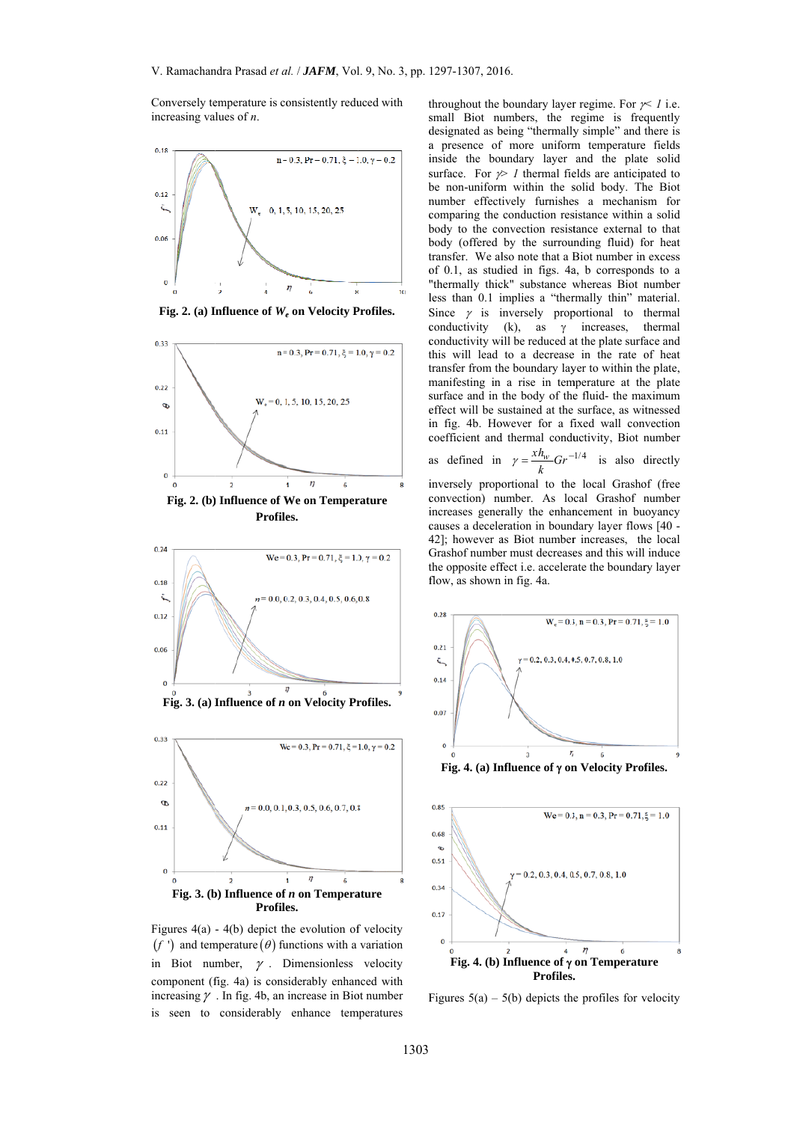Conversely temperature is consistently reduced with increasing values of  $n$ .



Fig. 2. (a) Influence of  $W_e$  on Velocity Profiles.







Figures  $4(a) - 4(b)$  depict the evolution of velocity  $(f')$  and temperature  $(\theta)$  functions with a variation in Biot number,  $\gamma$ . Dimensionless velocity component (fig. 4a) is considerably enhanced with increasing  $\gamma$ . In fig. 4b, an increase in Biot number is seen to considerably enhance temperatures

throughout the boundary layer regime. For  $\gamma$  i.e. small Biot numbers, the regime is frequently designated as being "thermally simple" and there is a presence of more uniform temperature fields inside the boundary layer and the plate solid surface. For  $\gg$  1 thermal fields are anticipated to be non-uniform within the solid body. The Biot number effectively furnishes a mechanism for comparing the conduction resistance within a solid body to the convection resistance external to that body (offered by the surrounding fluid) for heat transfer. We also note that a Biot number in excess of 0.1, as studied in figs. 4a, b corresponds to a "thermally thick" substance whereas Biot number less than 0.1 implies a "thermally thin" material. Since  $\gamma$  is inversely proportional to thermal (k), as  $\gamma$  increases, thermal conductivity conductivity will be reduced at the plate surface and this will lead to a decrease in the rate of heat transfer from the boundary layer to within the plate, manifesting in a rise in temperature at the plate surface and in the body of the fluid- the maximum effect will be sustained at the surface, as witnessed in fig. 4b. However for a fixed wall convection coefficient and thermal conductivity. Biot number

as defined in 
$$
\gamma = \frac{xh_w}{k}Gr^{-1/4}
$$
 is also directly

inversely proportional to the local Grashof (free convection) number. As local Grashof number increases generally the enhancement in buoyancy causes a deceleration in boundary layer flows [40 -42]; however as Biot number increases, the local Grashof number must decreases and this will induce the opposite effect i.e. accelerate the boundary layer flow, as shown in fig. 4a.



Figures  $5(a) - 5(b)$  depicts the profiles for velocity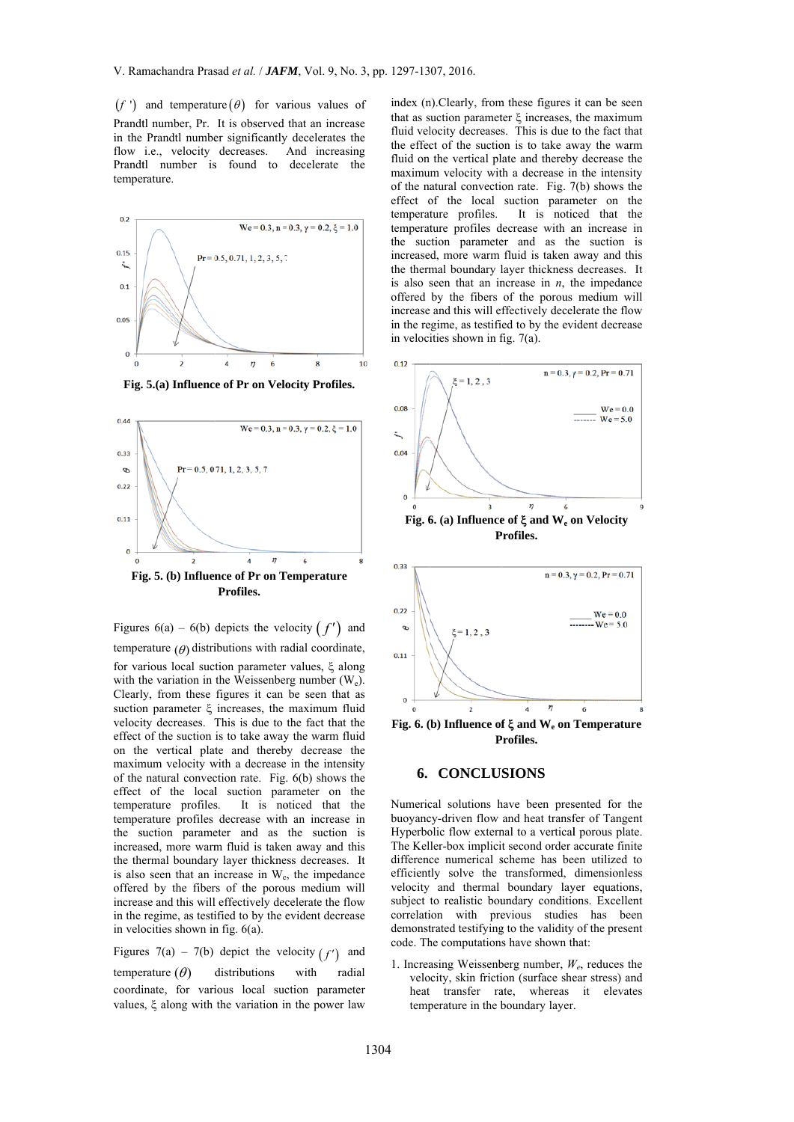$(f')$  and temperature  $(\theta)$  for various values of Prandtl number, Pr. It is observed that an increase in the Prandtl number significantly decelerates the flow i.e., velocity decreases. A Prandtl number is found to decelerate the temperature. And increasing



**Fig. 5.(a) Influenc e of Pr on Velo ocity Profiles.**



Figures  $6(a) - 6(b)$  depicts the velocity  $(f')$  and

temperature  $(\theta)$  distributions with radial coordinate, for various local suction parameter values,  $\xi$  along with the variation in the Weissenberg number  $(W_e)$ . Clearly, from these figures it can be seen that as suction parameter  $\xi$  increases, the maximum fluid velocity decreases. This is due to the fact that the effect of the suction is to take away the warm fluid on the vertical plate and thereby decrease the maximum velocity with a decrease in the intensity of the natural convection rate. Fig.  $6(b)$  shows the effect of the local suction parameter on the temperature profiles. It is noticed that the temperature profiles decrease with an increase in the suction parameter and as the suction is increased, more warm fluid is taken away and this the thermal boundary layer thickness decreases. It is also seen that an increase in  $W_e$ , the impedance offered by the fibers of the porous medium will increase and this will effectively decelerate the flow increase and this will effectively decelerate the flow<br>in the regime, as testified to by the evident decrease in velocities shown in fig.  $6(a)$ .

Figures 7(a) – 7(b) depict the velocity  $(f')$  and temperature  $(\theta)$ coordinate, for various local suction parameter values,  $\xi$  along with the variation in the power law distributions with radial

of index (n<br>
se that as s<br>
that as s<br>
fluid on<br>
that as s<br>
fluid on<br>
maximu of the mis<br>
effect of temperat<br>
temperat<br>
temperat<br>
temperat<br>
temperat<br>
in ter is also s<br>
offered<br>
increase<br>
in the re<br>
in veloci<br>
on<br>
on<br>
on<br>
on<br> that as suction parameter  $\xi$  increases, the maximum fluid velocity decreases. This is due to the fact that the effect of the suction is to take away the warm fluid on the vertical plate and thereby decrease the maximum velocity with a decrease in the intensity of the na atural convecti on rate. Fig. 7 7(b) shows the effect of the local suction parameter on the temperature profiles. temperature profiles decrease with an increase in the suction parameter and as the suction is increase d, more warm fluid is taken away and this the thermal boundary layer thickness decreases. It is also seen that an increase in  $n$ , the impedance offered by the fibers of the porous medium will increase and this will effectively decelerate the flow in the regime, as testified to by the evident decrease in velocities shown in fig.  $7(a)$ . n). Clearly, from these figures it can be seen It is noticed that the





## **6. CONCLU SIONS**

Numerical solutions have been presented for the buoyancy-driven flow and heat transfer of Tangent Hyperbolic flow external to a vertical porous plate. The Kel ler-box implici t second order accurate finite difference numerical scheme has been utilized to efficiently solve the transformed, dimensionless velocity and thermal boundary layer equations, subject to realistic boundary conditions. Excellent correlation with previous studies has been demonstrated testifying to the validity of the present code. The computations have shown that:

1. Increasing Weissenberg number,  $W_e$ , reduces the velocity, skin friction (surface shear stress) and heat transfer rate, whereas it elevates temp perature in the b boundary layer .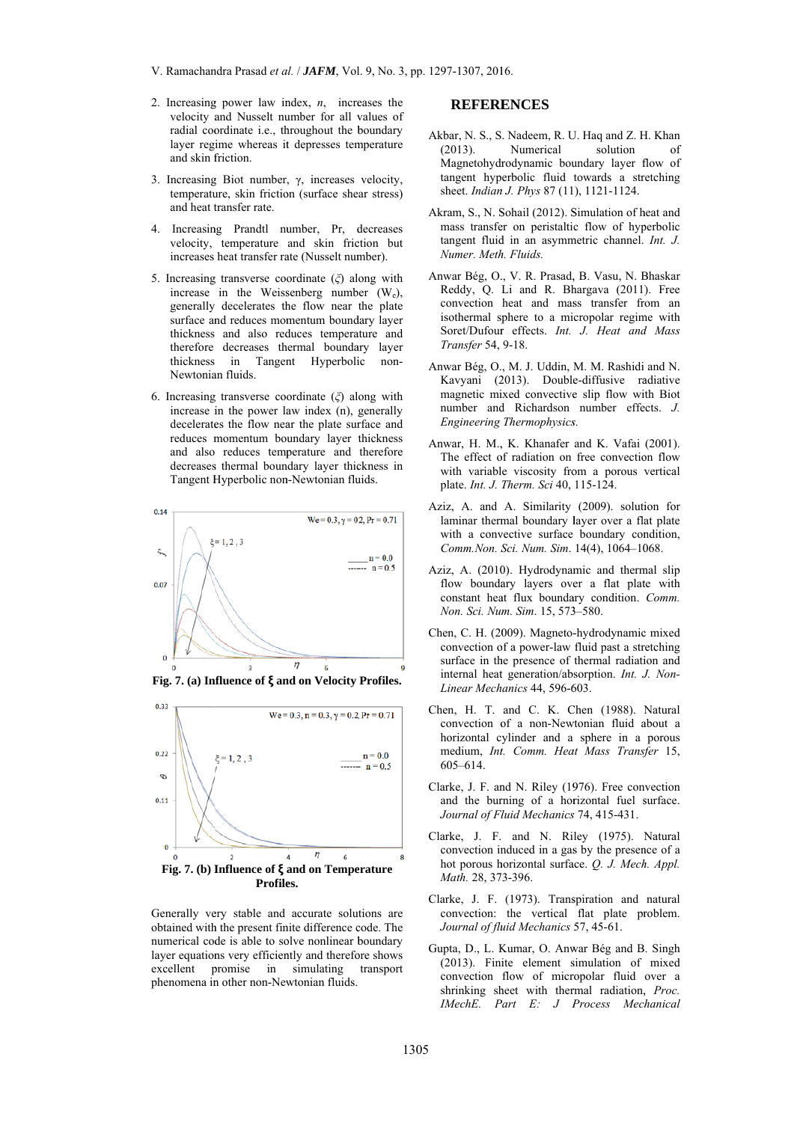- 2. Increasing power law index,  $n$ , increases the velocity and Nusselt number for all values of radial coordinate i.e., throughout the boundary layer regime whereas it depresses temperature and skin friction.
- 3. Increasing Biot number,  $\gamma$ , increases velocity, temperature, skin friction (surface shear stress) and heat transfer rate.
- 4 Increasing Prandtl number Pr decreases velocity, temperature and skin friction but increases heat transfer rate (Nusselt number).
- 5. Increasing transverse coordinate  $(\xi)$  along with increase in the Weissenberg number  $(W_e)$ , generally decelerates the flow near the plate surface and reduces momentum boundary layer thickness and also reduces temperature and therefore decreases thermal boundary layer thickness in Tangent Hyperbolic non-Newtonian fluids
- 6. Increasing transverse coordinate  $(\xi)$  along with increase in the power law index (n), generally decelerates the flow near the plate surface and reduces momentum boundary layer thickness and also reduces temperature and therefore decreases thermal boundary layer thickness in Tangent Hyperbolic non-Newtonian fluids.



Fig. 7. (a) Influence of  $\xi$  and on Velocity Profiles.



Generally very stable and accurate solutions are obtained with the present finite difference code. The numerical code is able to solve nonlinear boundary layer equations very efficiently and therefore shows excellent promise in simulating transport phenomena in other non-Newtonian fluids.

# **REFERENCES**

- Akbar, N. S., S. Nadeem, R. U. Haq and Z. H. Khan  $(2013).$ Numerical solution of Magnetohydrodynamic boundary layer flow of tangent hyperbolic fluid towards a stretching sheet. Indian J. Phys 87 (11), 1121-1124.
- Akram, S., N. Sohail (2012). Simulation of heat and mass transfer on peristaltic flow of hyperbolic tangent fluid in an asymmetric channel. Int. J. Numer. Meth. Fluids.
- Anwar Bég, O., V. R. Prasad, B. Vasu, N. Bhaskar Reddy, Q. Li and R. Bhargava (2011). Free convection heat and mass transfer from an isothermal sphere to a micropolar regime with Soret/Dufour effects. Int. J. Heat and Mass Transfer 54, 9-18.
- Anwar Bég, O., M. J. Uddin, M. M. Rashidi and N. Kavyani (2013). Double-diffusive radiative magnetic mixed convective slip flow with Biot number and Richardson number effects. J. Engineering Thermophysics.
- Anwar, H. M., K. Khanafer and K. Vafai (2001). The effect of radiation on free convection flow with variable viscosity from a porous vertical plate. Int. J. Therm. Sci 40, 115-124.
- Aziz, A. and A. Similarity (2009). solution for laminar thermal boundary layer over a flat plate with a convective surface boundary condition, Comm.Non. Sci. Num. Sim. 14(4), 1064-1068.
- Aziz, A. (2010). Hydrodynamic and thermal slip flow boundary layers over a flat plate with constant heat flux boundary condition. Comm. Non. Sci. Num. Sim. 15, 573-580.
- Chen, C. H. (2009). Magneto-hydrodynamic mixed convection of a power-law fluid past a stretching surface in the presence of thermal radiation and internal heat generation/absorption. Int. J. Non-Linear Mechanics 44, 596-603.
- Chen, H. T. and C. K. Chen (1988). Natural convection of a non-Newtonian fluid about a horizontal cylinder and a sphere in a porous medium, Int. Comm. Heat Mass Transfer 15, 605-614.
- Clarke, J. F. and N. Riley (1976). Free convection and the burning of a horizontal fuel surface. Journal of Fluid Mechanics 74, 415-431.
- Clarke, J. F. and N. Riley (1975). Natural convection induced in a gas by the presence of a hot porous horizontal surface. O. J. Mech. Appl. Math. 28, 373-396.
- Clarke, J. F. (1973). Transpiration and natural convection: the vertical flat plate problem. Journal of fluid Mechanics 57, 45-61.
- Gupta, D., L. Kumar, O. Anwar Bég and B. Singh  $(2013)$ . Finite element simulation of mixed convection flow of micropolar fluid over a shrinking sheet with thermal radiation, Proc. IMechE. Part E: J Process Mechanical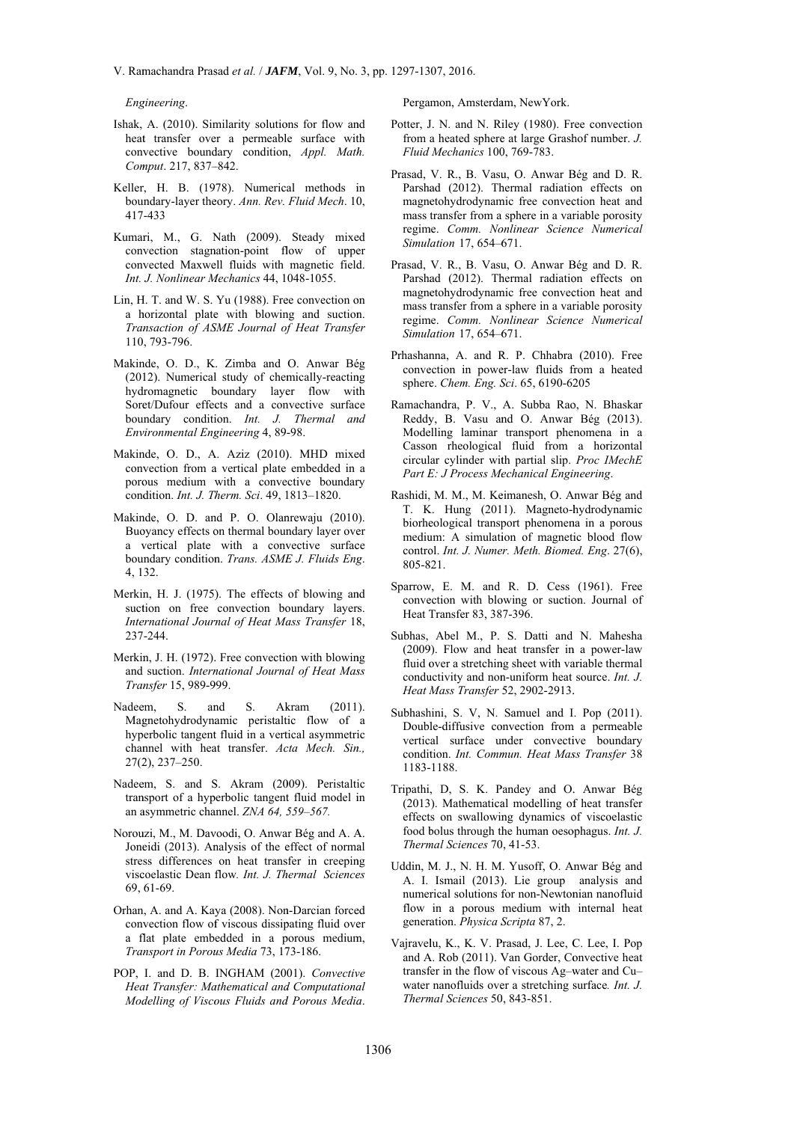Engineering.

- Ishak, A. (2010). Similarity solutions for flow and heat transfer over a permeable surface with convective boundary condition, Appl. Math. Comput. 217, 837-842.
- Keller, H. B. (1978). Numerical methods in boundary-layer theory. Ann. Rev. Fluid Mech. 10, 417-433
- Kumari, M., G. Nath (2009). Steady mixed convection stagnation-point flow of upper convected Maxwell fluids with magnetic field. Int. J. Nonlinear Mechanics 44, 1048-1055.
- Lin, H. T. and W. S. Yu (1988). Free convection on a horizontal plate with blowing and suction. Transaction of ASME Journal of Heat Transfer 110, 793-796.
- Makinde, O. D., K. Zimba and O. Anwar Bég (2012). Numerical study of chemically-reacting hydromagnetic boundary layer flow with Soret/Dufour effects and a convective surface boundary condition. Int. J. Thermal and Environmental Engineering 4, 89-98.
- Makinde, O. D., A. Aziz (2010). MHD mixed convection from a vertical plate embedded in a porous medium with a convective boundary condition. Int. J. Therm. Sci. 49, 1813-1820.
- Makinde, O. D. and P. O. Olanrewaju (2010). Buoyancy effects on thermal boundary layer over a vertical plate with a convective surface boundary condition. Trans. ASME J. Fluids Eng. 4, 132.
- Merkin, H. J. (1975). The effects of blowing and suction on free convection boundary layers. International Journal of Heat Mass Transfer 18, 237-244.
- Merkin, J. H. (1972). Free convection with blowing and suction. International Journal of Heat Mass Transfer 15, 989-999.
- $S<sub>1</sub>$ S. Nadeem and Akram  $(2011)$ Magnetohydrodynamic peristaltic flow of a hyperbolic tangent fluid in a vertical asymmetric channel with heat transfer. Acta Mech. Sin.,  $27(2)$ ,  $237-250$ .
- Nadeem, S. and S. Akram (2009). Peristaltic transport of a hyperbolic tangent fluid model in an asymmetric channel. ZNA 64, 559-567.
- Norouzi, M., M. Davoodi, O. Anwar Bég and A. A. Joneidi (2013). Analysis of the effect of normal stress differences on heat transfer in creeping viscoelastic Dean flow. Int. J. Thermal Sciences 69.61-69.
- Orhan, A. and A. Kaya (2008). Non-Darcian forced convection flow of viscous dissipating fluid over a flat plate embedded in a porous medium, Transport in Porous Media 73, 173-186.
- POP, I. and D. B. INGHAM (2001). Convective Heat Transfer: Mathematical and Computational Modelling of Viscous Fluids and Porous Media.

Pergamon, Amsterdam, NewYork.

- Potter, J. N. and N. Riley (1980). Free convection from a heated sphere at large Grashof number. J. Fluid Mechanics 100, 769-783.
- Prasad, V. R., B. Vasu, O. Anwar Bég and D. R. Parshad (2012). Thermal radiation effects on magnetohydrodynamic free convection heat and mass transfer from a sphere in a variable porosity regime. Comm. Nonlinear Science Numerical Simulation 17, 654-671.
- Prasad, V. R., B. Vasu, O. Anwar Bég and D. R. Parshad (2012). Thermal radiation effects on magnetohydrodynamic free convection heat and mass transfer from a sphere in a variable porosity regime. Comm. Nonlinear Science Numerical Simulation 17, 654-671.
- Prhashanna, A. and R. P. Chhabra (2010). Free convection in power-law fluids from a heated sphere. Chem. Eng. Sci. 65, 6190-6205
- Ramachandra, P. V., A. Subba Rao, N. Bhaskar Reddy, B. Vasu and O. Anwar Bég (2013). Modelling laminar transport phenomena in a Casson rheological fluid from a horizontal circular cylinder with partial slip. Proc IMechE Part E: J Process Mechanical Engineering.
- Rashidi, M. M., M. Keimanesh, O. Anwar Bég and T. K. Hung (2011). Magneto-hydrodynamic biorheological transport phenomena in a porous medium: A simulation of magnetic blood flow control. Int. J. Numer. Meth. Biomed. Eng. 27(6), 805-821.
- Sparrow, E. M. and R. D. Cess (1961). Free convection with blowing or suction. Journal of Heat Transfer 83, 387-396.
- Subhas, Abel M., P. S. Datti and N. Mahesha (2009). Flow and heat transfer in a power-law fluid over a stretching sheet with variable thermal conductivity and non-uniform heat source. Int. J. Heat Mass Transfer 52, 2902-2913.
- Subhashini, S. V, N. Samuel and I. Pop (2011). Double-diffusive convection from a permeable vertical surface under convective boundary condition. Int. Commun. Heat Mass Transfer 38 1183-1188
- Tripathi, D. S. K. Pandey and O. Anwar Bég (2013). Mathematical modelling of heat transfer effects on swallowing dynamics of viscoelastic food bolus through the human oesophagus. Int. J. Thermal Sciences 70, 41-53.
- Uddin, M. J., N. H. M. Yusoff, O. Anwar Bég and A. I. Ismail (2013). Lie group analysis and numerical solutions for non-Newtonian nanofluid flow in a porous medium with internal heat generation. Physica Scripta 87, 2.
- Vairavelu, K., K. V. Prasad, J. Lee, C. Lee, I. Pop and A. Rob (2011). Van Gorder, Convective heat transfer in the flow of viscous Ag-water and Cuwater nanofluids over a stretching surface. Int. J. Thermal Sciences 50, 843-851.